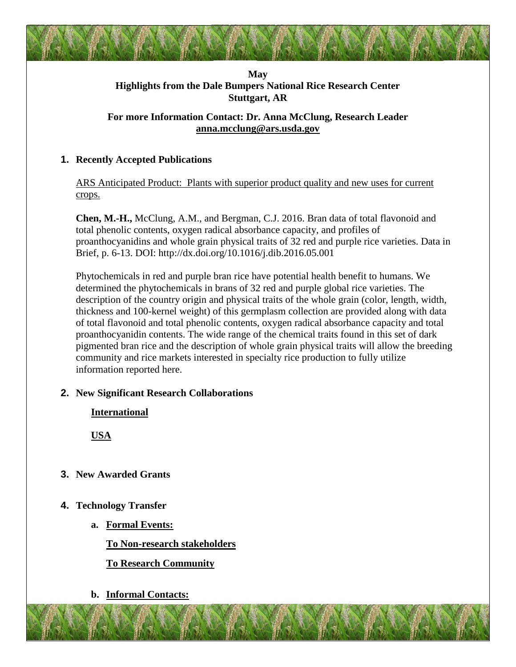## **May Highlights from the Dale Bumpers National Rice Research Center Stuttgart, AR**

## **For more Information Contact: Dr. Anna McClung, Research Leader [anna.mcclung@ars.usda.gov](mailto:anna.mcclung@ars.usda.gov)**

## **1. Recently Accepted Publications**

ARS Anticipated Product: Plants with superior product quality and new uses for current crops.

**Chen, M.-H.,** McClung, A.M., and Bergman, C.J. 2016. Bran data of total flavonoid and total phenolic contents, oxygen radical absorbance capacity, and profiles of proanthocyanidins and whole grain physical traits of 32 red and purple rice varieties. Data in Brief, p. 6-13. DOI: http://dx.doi.org/10.1016/j.dib.2016.05.001

Phytochemicals in red and purple bran rice have potential health benefit to humans. We determined the phytochemicals in brans of 32 red and purple global rice varieties. The description of the country origin and physical traits of the whole grain (color, length, width, thickness and 100-kernel weight) of this germplasm collection are provided along with data of total flavonoid and total phenolic contents, oxygen radical absorbance capacity and total proanthocyanidin contents. The wide range of the chemical traits found in this set of dark pigmented bran rice and the description of whole grain physical traits will allow the breeding community and rice markets interested in specialty rice production to fully utilize information reported here.

## **2. New Significant Research Collaborations**

**International**

**USA**

**3. New Awarded Grants**

# **4. Technology Transfer**

**a. Formal Events:**

# **To Non-research stakeholders**

## **To Research Community**

**b. Informal Contacts:**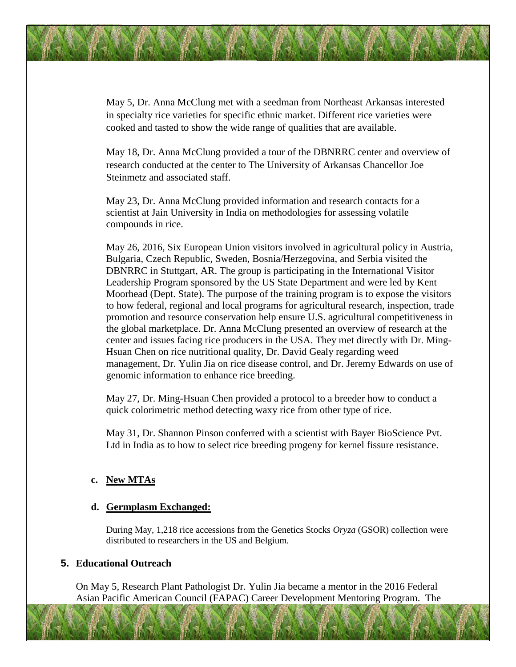May 5, Dr. Anna McClung met with a seedman from Northeast Arkansas interested in specialty rice varieties for specific ethnic market. Different rice varieties were cooked and tasted to show the wide range of qualities that are available.

May 18, Dr. Anna McClung provided a tour of the DBNRRC center and overview of research conducted at the center to The University of Arkansas Chancellor Joe Steinmetz and associated staff.

May 23, Dr. Anna McClung provided information and research contacts for a scientist at Jain University in India on methodologies for assessing volatile compounds in rice.

May 26, 2016, Six European Union visitors involved in agricultural policy in Austria, Bulgaria, Czech Republic, Sweden, Bosnia/Herzegovina, and Serbia visited the DBNRRC in Stuttgart, AR. The group is participating in the International Visitor Leadership Program sponsored by the US State Department and were led by Kent Moorhead (Dept. State). The purpose of the training program is to expose the visitors to how federal, regional and local programs for agricultural research, inspection, trade promotion and resource conservation help ensure U.S. agricultural competitiveness in the global marketplace. Dr. Anna McClung presented an overview of research at the center and issues facing rice producers in the USA. They met directly with Dr. Ming-Hsuan Chen on rice nutritional quality, Dr. David Gealy regarding weed management, Dr. Yulin Jia on rice disease control, and Dr. Jeremy Edwards on use of genomic information to enhance rice breeding.

May 27, Dr. Ming-Hsuan Chen provided a protocol to a breeder how to conduct a quick colorimetric method detecting waxy rice from other type of rice.

May 31, Dr. Shannon Pinson conferred with a scientist with Bayer BioScience Pvt. Ltd in India as to how to select rice breeding progeny for kernel fissure resistance.

#### **c. New MTAs**

#### **d. Germplasm Exchanged:**

During May, 1,218 rice accessions from the Genetics Stocks *Oryza* (GSOR) collection were distributed to researchers in the US and Belgium.

#### **5. Educational Outreach**

On May 5, Research Plant Pathologist Dr. Yulin Jia became a mentor in the 2016 Federal Asian Pacific American Council (FAPAC) Career Development Mentoring Program. The